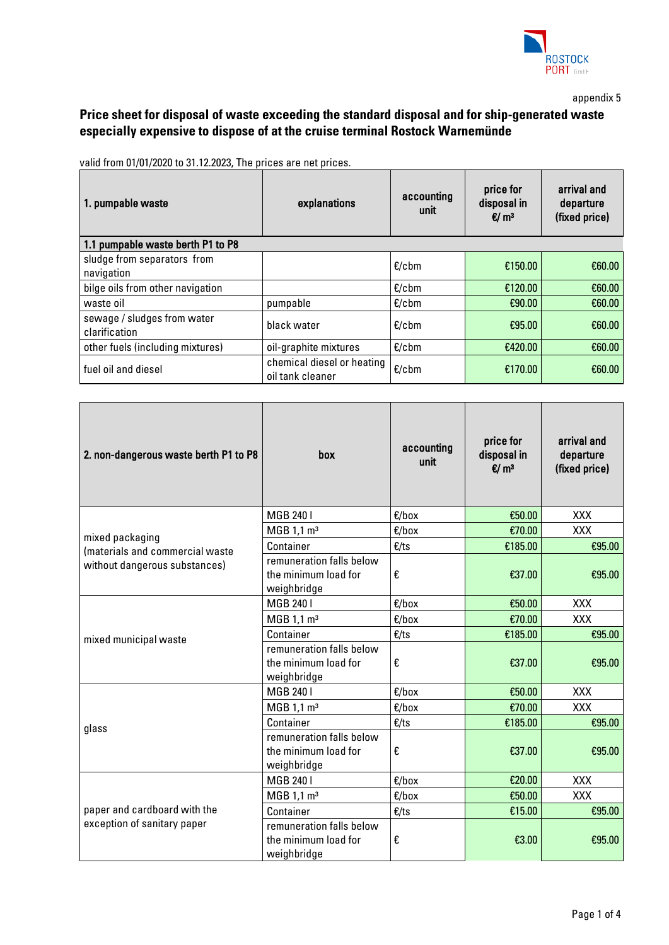

appendix 5

## **Price sheet for disposal of waste exceeding the standard disposal and for ship-generated waste especially expensive to dispose of at the cruise terminal Rostock Warnemünde**

valid from 01/01/2020 to 31.12.2023, The prices are net prices.

| 1. pumpable waste                            | explanations                                   | accounting<br>unit | price for<br>disposal in<br>$\mathbf{E}/\mathbf{m}^3$ | arrival and<br>departure<br>(fixed price) |
|----------------------------------------------|------------------------------------------------|--------------------|-------------------------------------------------------|-------------------------------------------|
| 1.1 pumpable waste berth P1 to P8            |                                                |                    |                                                       |                                           |
| sludge from separators from<br>navigation    |                                                | $E$ /cbm           | €150.00                                               | €60.00                                    |
| bilge oils from other navigation             |                                                | $E$ /cbm           | €120.00                                               | €60.00                                    |
| waste oil                                    | pumpable                                       | $E$ /cbm           | €90.00                                                | €60.00                                    |
| sewage / sludges from water<br>clarification | black water                                    | $E$ /cbm           | €95.00                                                | €60.00                                    |
| other fuels (including mixtures)             | oil-graphite mixtures                          | $E$ /cbm           | €420.00                                               | €60.00                                    |
| fuel oil and diesel                          | chemical diesel or heating<br>oil tank cleaner | $E$ /cbm           | €170.00                                               | €60.00                                    |

| 2. non-dangerous waste berth P1 to P8                       | box                                                             | accounting<br>unit | price for<br>disposal in<br>E/m <sup>3</sup> | arrival and<br>departure<br>(fixed price) |
|-------------------------------------------------------------|-----------------------------------------------------------------|--------------------|----------------------------------------------|-------------------------------------------|
|                                                             | MGB 240 I                                                       | $E/b$ ox           | €50.00                                       | <b>XXX</b>                                |
| mixed packaging                                             | MGB 1,1 m <sup>3</sup>                                          | $E/b$ ox           | €70.00                                       | <b>XXX</b>                                |
| (materials and commercial waste                             | Container                                                       | E/ts               | €185.00                                      | €95.00                                    |
| without dangerous substances)                               | remuneration falls below<br>the minimum load for<br>weighbridge | €                  | €37.00                                       | €95.00                                    |
|                                                             | MGB 240 I                                                       | $E/b$ ox           | €50.00                                       | <b>XXX</b>                                |
|                                                             | MGB 1,1 m <sup>3</sup>                                          | $E/b$ ox           | €70.00                                       | XXX                                       |
| mixed municipal waste                                       | Container                                                       | E/ts               | €185.00                                      | €95.00                                    |
|                                                             | remuneration falls below<br>the minimum load for<br>weighbridge | €                  | €37.00                                       | €95.00                                    |
|                                                             | MGB 2401                                                        | €/box              | €50.00                                       | <b>XXX</b>                                |
|                                                             | MGB 1,1 m <sup>3</sup>                                          | €/box              | €70.00                                       | <b>XXX</b>                                |
| glass                                                       | Container                                                       | E/ts               | €185.00                                      | €95.00                                    |
|                                                             | remuneration falls below<br>the minimum load for<br>weighbridge | €                  | €37.00                                       | €95.00                                    |
| paper and cardboard with the<br>exception of sanitary paper | MGB 240 I                                                       | $E/b$ ox           | €20.00                                       | <b>XXX</b>                                |
|                                                             | MGB 1,1 $\mathrm{m}^3$                                          | $E/b$ ox           | €50.00                                       | XXX                                       |
|                                                             | Container                                                       | E/ts               | €15.00                                       | €95.00                                    |
|                                                             | remuneration falls below<br>the minimum load for<br>weighbridge | €                  | €3.00                                        | €95.00                                    |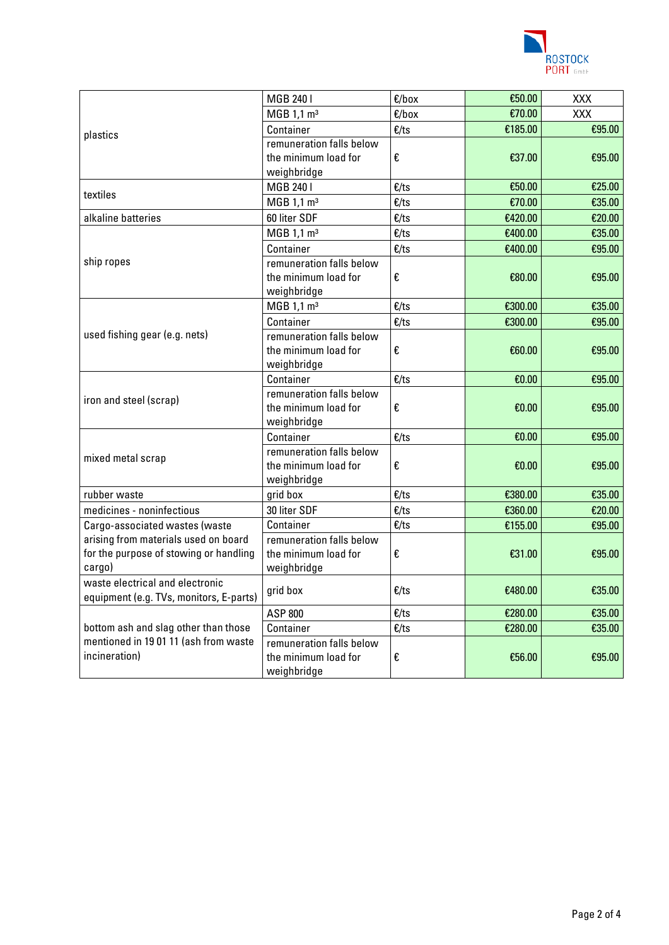

| plastics                                                                                 | MGB 240 I                                                       | €/box | €50.00  | XXX        |
|------------------------------------------------------------------------------------------|-----------------------------------------------------------------|-------|---------|------------|
|                                                                                          | MGB 1,1 m <sup>3</sup>                                          | €/box | €70.00  | <b>XXX</b> |
|                                                                                          | Container                                                       | E/ts  | €185.00 | €95.00     |
|                                                                                          | remuneration falls below<br>the minimum load for<br>weighbridge | €     | €37.00  | €95.00     |
|                                                                                          | MGB 240 I                                                       | E/ts  | €50.00  | €25.00     |
| textiles                                                                                 | MGB 1,1 m <sup>3</sup>                                          | E/ts  | €70.00  | €35.00     |
| alkaline batteries                                                                       | 60 liter SDF                                                    | E/ts  | €420.00 | €20.00     |
|                                                                                          | MGB 1,1 m <sup>3</sup>                                          | E/ts  | €400.00 | €35.00     |
|                                                                                          | Container                                                       | E/ts  | €400.00 | €95.00     |
| ship ropes                                                                               | remuneration falls below<br>the minimum load for<br>weighbridge | €     | €80.00  | €95.00     |
|                                                                                          | MGB 1,1 m <sup>3</sup>                                          | E/ts  | €300.00 | €35.00     |
|                                                                                          | Container                                                       | E/ts  | €300.00 | €95.00     |
| used fishing gear (e.g. nets)                                                            | remuneration falls below<br>the minimum load for<br>weighbridge | €     | €60.00  | €95.00     |
|                                                                                          | Container                                                       | E/ts  | €0.00   | €95.00     |
| iron and steel (scrap)                                                                   | remuneration falls below<br>the minimum load for<br>weighbridge | €     | €0.00   | €95.00     |
|                                                                                          | Container                                                       | E/ts  | €0.00   | €95.00     |
| mixed metal scrap                                                                        | remuneration falls below<br>the minimum load for<br>weighbridge | €     | €0.00   | €95.00     |
| rubber waste                                                                             | grid box                                                        | E/ts  | €380.00 | €35.00     |
| medicines - noninfectious                                                                | 30 liter SDF                                                    | E/ts  | €360.00 | €20.00     |
| Cargo-associated wastes (waste                                                           | Container                                                       | E/ts  | €155.00 | €95.00     |
| arising from materials used on board<br>for the purpose of stowing or handling<br>cargo) | remuneration falls below<br>the minimum load for<br>weighbridge | €     | €31.00  | €95.00     |
| waste electrical and electronic<br>equipment (e.g. TVs, monitors, E-parts)               | grid box                                                        | E/ts  | €480.00 | €35.00     |
|                                                                                          | ASP 800                                                         | E/ts  | €280.00 | €35.00     |
| bottom ash and slag other than those                                                     | Container                                                       | E/ts  | €280.00 | €35.00     |
| mentioned in 1901 11 (ash from waste<br>incineration)                                    | remuneration falls below<br>the minimum load for<br>weighbridge | €     | €56.00  | €95.00     |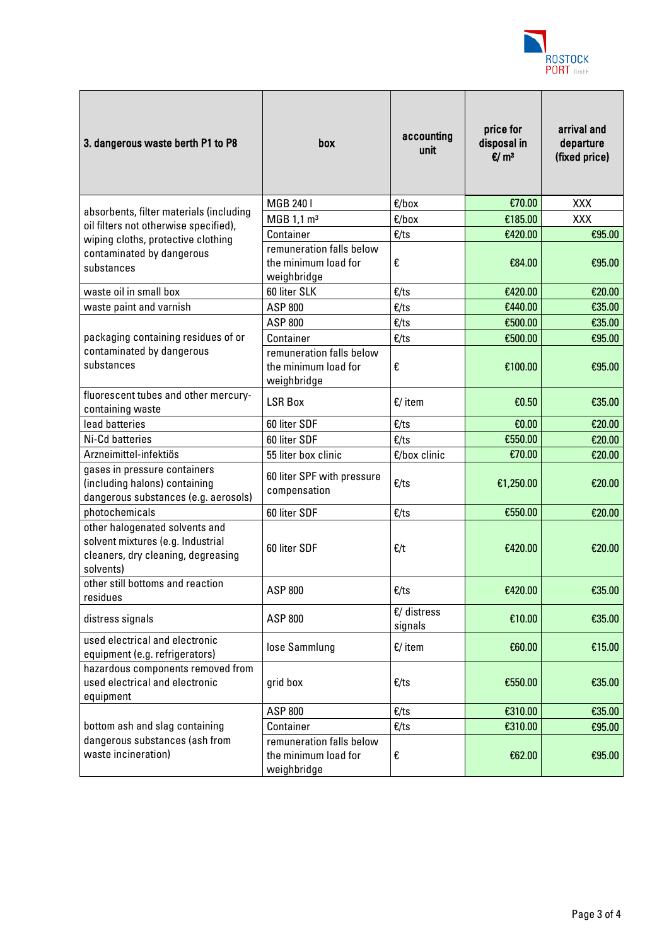

| 3. dangerous waste berth P1 to P8                                                                                      | box                                                             | accounting<br>unit       | price for<br>disposal in<br>$E/m^3$ | arrival and<br>departure<br>(fixed price) |
|------------------------------------------------------------------------------------------------------------------------|-----------------------------------------------------------------|--------------------------|-------------------------------------|-------------------------------------------|
|                                                                                                                        | MGB 2401                                                        | $E/b$ ox                 | €70.00                              | XXX                                       |
| absorbents, filter materials (including                                                                                | MGB 1,1 m <sup>3</sup>                                          | $E/b$ ox                 | €185.00                             | XXX                                       |
| oil filters not otherwise specified),<br>wiping cloths, protective clothing                                            | Container                                                       | E/ts                     | €420.00                             | €95.00                                    |
| contaminated by dangerous<br>substances                                                                                | remuneration falls below<br>the minimum load for<br>weighbridge | €                        | €84.00                              | €95.00                                    |
| waste oil in small box                                                                                                 | 60 liter SLK                                                    | E/ts                     | €420.00                             | €20.00                                    |
| waste paint and varnish                                                                                                | <b>ASP 800</b>                                                  | E/ts                     | €440.00                             | €35.00                                    |
|                                                                                                                        | <b>ASP 800</b>                                                  | E/ts                     | €500.00                             | €35.00                                    |
| packaging containing residues of or                                                                                    | Container                                                       | E/ts                     | €500.00                             | €95.00                                    |
| contaminated by dangerous<br>substances                                                                                | remuneration falls below<br>the minimum load for<br>weighbridge | €                        | €100.00                             | €95.00                                    |
| fluorescent tubes and other mercury-<br>containing waste                                                               | <b>LSR Box</b>                                                  | $E/$ item                | €0.50                               | €35.00                                    |
| lead batteries                                                                                                         | 60 liter SDF                                                    | E/ts                     | €0.00                               | €20.00                                    |
| Ni-Cd batteries                                                                                                        | 60 liter SDF                                                    | E/ts                     | €550.00                             | €20.00                                    |
| Arzneimittel-infektiös                                                                                                 | 55 liter box clinic                                             | $E/b$ ox clinic          | €70.00                              | €20.00                                    |
| gases in pressure containers<br>(including halons) containing<br>dangerous substances (e.g. aerosols)                  | 60 liter SPF with pressure<br>compensation                      | E/ts                     | €1,250.00                           | €20.00                                    |
| photochemicals                                                                                                         | 60 liter SDF                                                    | E/ts                     | €550.00                             | €20.00                                    |
| other halogenated solvents and<br>solvent mixtures (e.g. Industrial<br>cleaners, dry cleaning, degreasing<br>solvents) | 60 liter SDF                                                    | $\epsilon/t$             | €420.00                             | €20.00                                    |
| other still bottoms and reaction<br>residues                                                                           | <b>ASP 800</b>                                                  | E/ts                     | €420.00                             | €35.00                                    |
| distress signals                                                                                                       | ASP 800                                                         | $E/d$ istress<br>signals | €10.00                              | €35.00                                    |
| used electrical and electronic<br>equipment (e.g. refrigerators)                                                       | lose Sammlung                                                   | $E/$ item                | €60.00                              | €15.00                                    |
| hazardous components removed from<br>used electrical and electronic<br>equipment                                       | grid box                                                        | E/ts                     | €550.00                             | €35.00                                    |
|                                                                                                                        | ASP 800                                                         | E/ts                     | €310.00                             | €35.00                                    |
| bottom ash and slag containing                                                                                         | Container                                                       | E/ts                     | €310.00                             | €95.00                                    |
| dangerous substances (ash from<br>waste incineration)                                                                  | remuneration falls below<br>the minimum load for<br>weighbridge | €                        | €62.00                              | €95.00                                    |